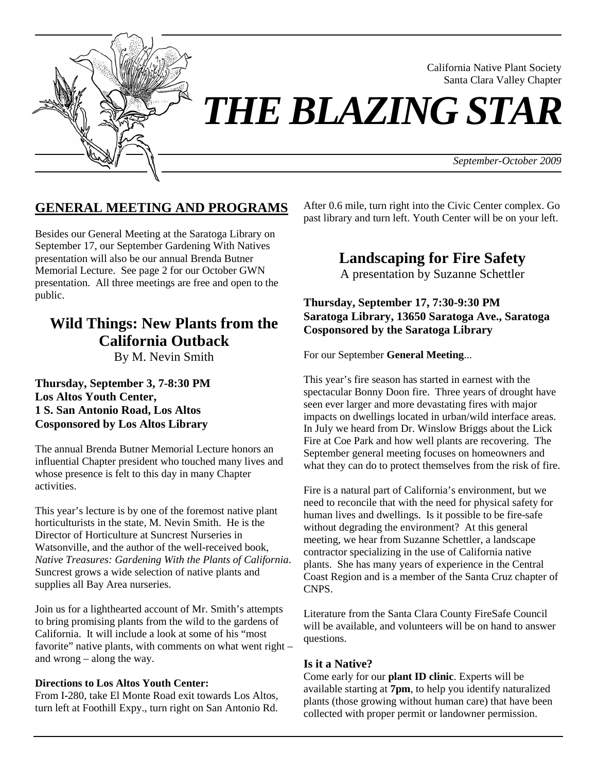

California Native Plant Society Santa Clara Valley Chapter

*THE BLAZING STAR* 

*September-October 2009*

### **GENERAL MEETING AND PROGRAMS**

Besides our General Meeting at the Saratoga Library on September 17, our September Gardening With Natives presentation will also be our annual Brenda Butner Memorial Lecture. See page 2 for our October GWN presentation. All three meetings are free and open to the public.

# **Wild Things: New Plants from the California Outback**

By M. Nevin Smith

#### **Thursday, September 3, 7-8:30 PM Los Altos Youth Center, 1 S. San Antonio Road, Los Altos Cosponsored by Los Altos Library**

The annual Brenda Butner Memorial Lecture honors an influential Chapter president who touched many lives and whose presence is felt to this day in many Chapter activities.

This year's lecture is by one of the foremost native plant horticulturists in the state, M. Nevin Smith. He is the Director of Horticulture at Suncrest Nurseries in Watsonville, and the author of the well-received book, *Native Treasures: Gardening With the Plants of California*. Suncrest grows a wide selection of native plants and supplies all Bay Area nurseries.

Join us for a lighthearted account of Mr. Smith's attempts to bring promising plants from the wild to the gardens of California. It will include a look at some of his "most favorite" native plants, with comments on what went right – and wrong – along the way.

#### **Directions to Los Altos Youth Center:**

From I-280, take El Monte Road exit towards Los Altos, turn left at Foothill Expy., turn right on San Antonio Rd.

After 0.6 mile, turn right into the Civic Center complex. Go past library and turn left. Youth Center will be on your left.

**Landscaping for Fire Safety** 

A presentation by Suzanne Schettler

**Thursday, September 17, 7:30-9:30 PM Saratoga Library, 13650 Saratoga Ave., Saratoga Cosponsored by the Saratoga Library** 

For our September **General Meeting**...

This year's fire season has started in earnest with the spectacular Bonny Doon fire. Three years of drought have seen ever larger and more devastating fires with major impacts on dwellings located in urban/wild interface areas. In July we heard from Dr. Winslow Briggs about the Lick Fire at Coe Park and how well plants are recovering. The September general meeting focuses on homeowners and what they can do to protect themselves from the risk of fire.

Fire is a natural part of California's environment, but we need to reconcile that with the need for physical safety for human lives and dwellings. Is it possible to be fire-safe without degrading the environment? At this general meeting, we hear from Suzanne Schettler, a landscape contractor specializing in the use of California native plants. She has many years of experience in the Central Coast Region and is a member of the Santa Cruz chapter of CNPS.

Literature from the Santa Clara County FireSafe Council will be available, and volunteers will be on hand to answer questions.

#### **Is it a Native?**

Come early for our **plant ID clinic**. Experts will be available starting at **7pm**, to help you identify naturalized plants (those growing without human care) that have been collected with proper permit or landowner permission.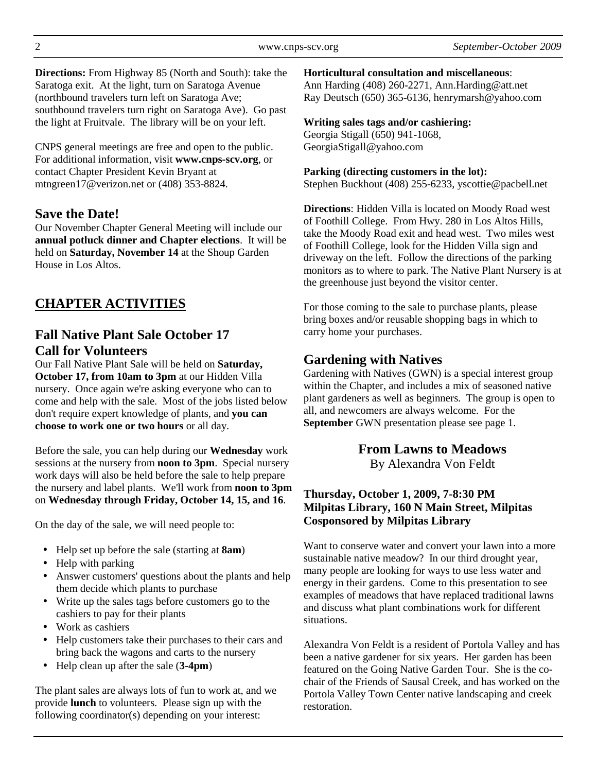**Directions:** From Highway 85 (North and South): take the Saratoga exit. At the light, turn on Saratoga Avenue (northbound travelers turn left on Saratoga Ave; southbound travelers turn right on Saratoga Ave). Go past the light at Fruitvale. The library will be on your left.

CNPS general meetings are free and open to the public. For additional information, visit **www.cnps-scv.org**, or contact Chapter President Kevin Bryant at mtngreen17@verizon.net or (408) 353-8824.

#### **Save the Date!**

Our November Chapter General Meeting will include our **annual potluck dinner and Chapter elections**. It will be held on **Saturday, November 14** at the Shoup Garden House in Los Altos.

## **CHAPTER ACTIVITIES**

### **Fall Native Plant Sale October 17 Call for Volunteers**

Our Fall Native Plant Sale will be held on **Saturday, October 17, from 10am to 3pm** at our Hidden Villa nursery. Once again we're asking everyone who can to come and help with the sale. Most of the jobs listed below don't require expert knowledge of plants, and **you can choose to work one or two hours** or all day.

Before the sale, you can help during our **Wednesday** work sessions at the nursery from **noon to 3pm**. Special nursery work days will also be held before the sale to help prepare the nursery and label plants. We'll work from **noon to 3pm** on **Wednesday through Friday, October 14, 15, and 16**.

On the day of the sale, we will need people to:

- Help set up before the sale (starting at **8am**)
- Help with parking
- Answer customers' questions about the plants and help them decide which plants to purchase
- Write up the sales tags before customers go to the cashiers to pay for their plants
- Work as cashiers
- Help customers take their purchases to their cars and bring back the wagons and carts to the nursery
- Help clean up after the sale (**3-4pm**)

The plant sales are always lots of fun to work at, and we provide **lunch** to volunteers. Please sign up with the following coordinator(s) depending on your interest:

**Horticultural consultation and miscellaneous**:

Ann Harding (408) 260-2271, Ann.Harding@att.net Ray Deutsch (650) 365-6136, henrymarsh@yahoo.com

#### **Writing sales tags and/or cashiering:**

Georgia Stigall (650) 941-1068, GeorgiaStigall@yahoo.com

**Parking (directing customers in the lot):**  Stephen Buckhout (408) 255-6233, yscottie@pacbell.net

**Directions**: Hidden Villa is located on Moody Road west of Foothill College. From Hwy. 280 in Los Altos Hills, take the Moody Road exit and head west. Two miles west of Foothill College, look for the Hidden Villa sign and driveway on the left. Follow the directions of the parking monitors as to where to park. The Native Plant Nursery is at the greenhouse just beyond the visitor center.

For those coming to the sale to purchase plants, please bring boxes and/or reusable shopping bags in which to carry home your purchases.

### **Gardening with Natives**

Gardening with Natives (GWN) is a special interest group within the Chapter, and includes a mix of seasoned native plant gardeners as well as beginners. The group is open to all, and newcomers are always welcome. For the **September** GWN presentation please see page 1.

**From Lawns to Meadows** 

By Alexandra Von Feldt

#### **Thursday, October 1, 2009, 7-8:30 PM Milpitas Library, 160 N Main Street, Milpitas Cosponsored by Milpitas Library**

Want to conserve water and convert your lawn into a more sustainable native meadow? In our third drought year, many people are looking for ways to use less water and energy in their gardens. Come to this presentation to see examples of meadows that have replaced traditional lawns and discuss what plant combinations work for different situations.

Alexandra Von Feldt is a resident of Portola Valley and has been a native gardener for six years. Her garden has been featured on the Going Native Garden Tour. She is the cochair of the Friends of Sausal Creek, and has worked on the Portola Valley Town Center native landscaping and creek restoration.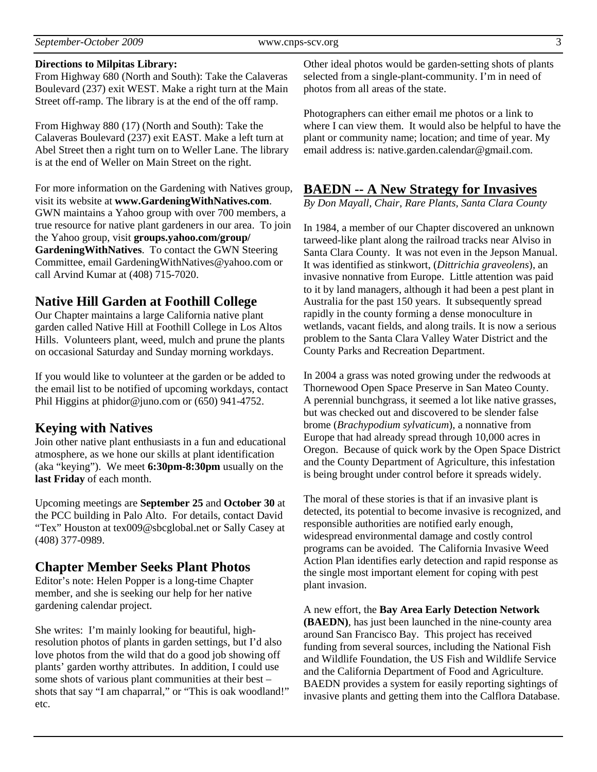#### **Directions to Milpitas Library:**

From Highway 680 (North and South): Take the Calaveras Boulevard (237) exit WEST. Make a right turn at the Main Street off-ramp. The library is at the end of the off ramp.

From Highway 880 (17) (North and South): Take the Calaveras Boulevard (237) exit EAST. Make a left turn at Abel Street then a right turn on to Weller Lane. The library is at the end of Weller on Main Street on the right.

For more information on the Gardening with Natives group, visit its website at **www.GardeningWithNatives.com**. GWN maintains a Yahoo group with over 700 members, a true resource for native plant gardeners in our area. To join the Yahoo group, visit **groups.yahoo.com/group/ GardeningWithNatives**. To contact the GWN Steering Committee, email GardeningWithNatives@yahoo.com or call Arvind Kumar at (408) 715-7020.

### **Native Hill Garden at Foothill College**

Our Chapter maintains a large California native plant garden called Native Hill at Foothill College in Los Altos Hills. Volunteers plant, weed, mulch and prune the plants on occasional Saturday and Sunday morning workdays.

If you would like to volunteer at the garden or be added to the email list to be notified of upcoming workdays, contact Phil Higgins at phidor@juno.com or (650) 941-4752.

### **Keying with Natives**

Join other native plant enthusiasts in a fun and educational atmosphere, as we hone our skills at plant identification (aka "keying"). We meet **6:30pm-8:30pm** usually on the **last Friday** of each month.

Upcoming meetings are **September 25** and **October 30** at the PCC building in Palo Alto. For details, contact David "Tex" Houston at tex009@sbcglobal.net or Sally Casey at (408) 377-0989.

### **Chapter Member Seeks Plant Photos**

Editor's note: Helen Popper is a long-time Chapter member, and she is seeking our help for her native gardening calendar project.

She writes: I'm mainly looking for beautiful, highresolution photos of plants in garden settings, but I'd also love photos from the wild that do a good job showing off plants' garden worthy attributes. In addition, I could use some shots of various plant communities at their best – shots that say "I am chaparral," or "This is oak woodland!" etc.

Other ideal photos would be garden-setting shots of plants selected from a single-plant-community. I'm in need of photos from all areas of the state.

Photographers can either email me photos or a link to where I can view them. It would also be helpful to have the plant or community name; location; and time of year. My email address is: native.garden.calendar@gmail.com.

### **BAEDN -- A New Strategy for Invasives**

*By Don Mayall, Chair, Rare Plants, Santa Clara County* 

In 1984, a member of our Chapter discovered an unknown tarweed-like plant along the railroad tracks near Alviso in Santa Clara County. It was not even in the Jepson Manual. It was identified as stinkwort, (*Dittrichia graveolens*), an invasive nonnative from Europe. Little attention was paid to it by land managers, although it had been a pest plant in Australia for the past 150 years. It subsequently spread rapidly in the county forming a dense monoculture in wetlands, vacant fields, and along trails. It is now a serious problem to the Santa Clara Valley Water District and the County Parks and Recreation Department.

In 2004 a grass was noted growing under the redwoods at Thornewood Open Space Preserve in San Mateo County. A perennial bunchgrass, it seemed a lot like native grasses, but was checked out and discovered to be slender false brome (*Brachypodium sylvaticum*), a nonnative from Europe that had already spread through 10,000 acres in Oregon. Because of quick work by the Open Space District and the County Department of Agriculture, this infestation is being brought under control before it spreads widely.

The moral of these stories is that if an invasive plant is detected, its potential to become invasive is recognized, and responsible authorities are notified early enough, widespread environmental damage and costly control programs can be avoided. The California Invasive Weed Action Plan identifies early detection and rapid response as the single most important element for coping with pest plant invasion.

A new effort, the **Bay Area Early Detection Network (BAEDN)**, has just been launched in the nine-county area around San Francisco Bay. This project has received funding from several sources, including the National Fish and Wildlife Foundation, the US Fish and Wildlife Service and the California Department of Food and Agriculture. BAEDN provides a system for easily reporting sightings of invasive plants and getting them into the Calflora Database.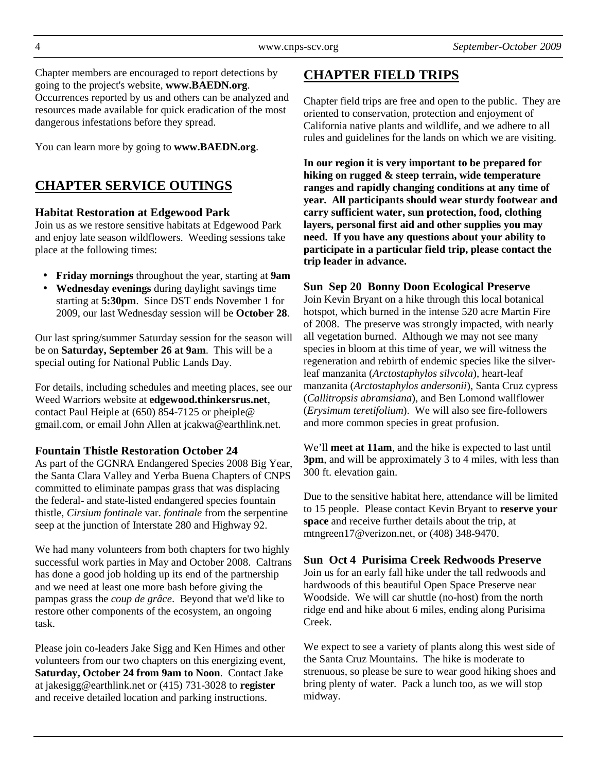Chapter members are encouraged to report detections by going to the project's website, **www.BAEDN.org**. Occurrences reported by us and others can be analyzed and resources made available for quick eradication of the most dangerous infestations before they spread.

You can learn more by going to **www.BAEDN.org**.

## **CHAPTER SERVICE OUTINGS**

#### **Habitat Restoration at Edgewood Park**

Join us as we restore sensitive habitats at Edgewood Park and enjoy late season wildflowers. Weeding sessions take place at the following times:

- **Friday mornings** throughout the year, starting at **9am**
- **Wednesday evenings** during daylight savings time starting at **5:30pm**. Since DST ends November 1 for 2009, our last Wednesday session will be **October 28**.

Our last spring/summer Saturday session for the season will be on **Saturday, September 26 at 9am**. This will be a special outing for National Public Lands Day.

For details, including schedules and meeting places, see our Weed Warriors website at **edgewood.thinkersrus.net**, contact Paul Heiple at (650) 854-7125 or pheiple@ gmail.com, or email John Allen at jcakwa@earthlink.net.

#### **Fountain Thistle Restoration October 24**

As part of the GGNRA Endangered Species 2008 Big Year, the Santa Clara Valley and Yerba Buena Chapters of CNPS committed to eliminate pampas grass that was displacing the federal- and state-listed endangered species fountain thistle, *Cirsium fontinale* var. *fontinale* from the serpentine seep at the junction of Interstate 280 and Highway 92.

We had many volunteers from both chapters for two highly successful work parties in May and October 2008. Caltrans has done a good job holding up its end of the partnership and we need at least one more bash before giving the pampas grass the *coup de grâce*. Beyond that we'd like to restore other components of the ecosystem, an ongoing task.

Please join co-leaders Jake Sigg and Ken Himes and other volunteers from our two chapters on this energizing event, **Saturday, October 24 from 9am to Noon**. Contact Jake at jakesigg@earthlink.net or (415) 731-3028 to **register** and receive detailed location and parking instructions.

## **CHAPTER FIELD TRIPS**

Chapter field trips are free and open to the public. They are oriented to conservation, protection and enjoyment of California native plants and wildlife, and we adhere to all rules and guidelines for the lands on which we are visiting.

**In our region it is very important to be prepared for hiking on rugged & steep terrain, wide temperature ranges and rapidly changing conditions at any time of year. All participants should wear sturdy footwear and carry sufficient water, sun protection, food, clothing layers, personal first aid and other supplies you may need. If you have any questions about your ability to participate in a particular field trip, please contact the trip leader in advance.** 

#### **Sun Sep 20 Bonny Doon Ecological Preserve**

Join Kevin Bryant on a hike through this local botanical hotspot, which burned in the intense 520 acre Martin Fire of 2008. The preserve was strongly impacted, with nearly all vegetation burned. Although we may not see many species in bloom at this time of year, we will witness the regeneration and rebirth of endemic species like the silverleaf manzanita (*Arctostaphylos silvcola*), heart-leaf manzanita (*Arctostaphylos andersonii*), Santa Cruz cypress (*Callitropsis abramsiana*), and Ben Lomond wallflower (*Erysimum teretifolium*). We will also see fire-followers and more common species in great profusion.

We'll **meet at 11am**, and the hike is expected to last until **3pm**, and will be approximately 3 to 4 miles, with less than 300 ft. elevation gain.

Due to the sensitive habitat here, attendance will be limited to 15 people. Please contact Kevin Bryant to **reserve your space** and receive further details about the trip, at mtngreen17@verizon.net, or (408) 348-9470.

#### **Sun Oct 4 Purisima Creek Redwoods Preserve**

Join us for an early fall hike under the tall redwoods and hardwoods of this beautiful Open Space Preserve near Woodside. We will car shuttle (no-host) from the north ridge end and hike about 6 miles, ending along Purisima Creek.

We expect to see a variety of plants along this west side of the Santa Cruz Mountains. The hike is moderate to strenuous, so please be sure to wear good hiking shoes and bring plenty of water. Pack a lunch too, as we will stop midway.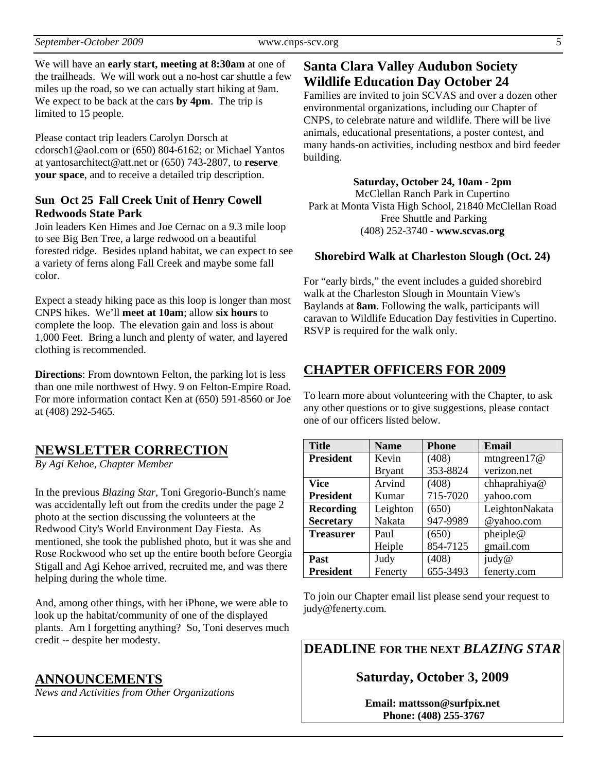We will have an **early start, meeting at 8:30am** at one of the trailheads. We will work out a no-host car shuttle a few miles up the road, so we can actually start hiking at 9am. We expect to be back at the cars **by 4pm**. The trip is limited to 15 people.

Please contact trip leaders Carolyn Dorsch at cdorsch1@aol.com or (650) 804-6162; or Michael Yantos at yantosarchitect@att.net or (650) 743-2807, to **reserve your space**, and to receive a detailed trip description.

#### **Sun Oct 25 Fall Creek Unit of Henry Cowell Redwoods State Park**

Join leaders Ken Himes and Joe Cernac on a 9.3 mile loop to see Big Ben Tree, a large redwood on a beautiful forested ridge. Besides upland habitat, we can expect to see a variety of ferns along Fall Creek and maybe some fall color.

Expect a steady hiking pace as this loop is longer than most CNPS hikes. We'll **meet at 10am**; allow **six hours** to complete the loop. The elevation gain and loss is about 1,000 Feet.Bring a lunch and plenty of water, and layered clothing is recommended.

**Directions**: From downtown Felton, the parking lot is less than one mile northwest of Hwy. 9 on Felton-Empire Road. For more information contact Ken at (650) 591-8560 or Joe at (408) 292-5465.

### **NEWSLETTER CORRECTION**

*By Agi Kehoe, Chapter Member* 

In the previous *Blazing Star*, Toni Gregorio-Bunch's name was accidentally left out from the credits under the page 2 photo at the section discussing the volunteers at the Redwood City's World Environment Day Fiesta. As mentioned, she took the published photo, but it was she and Rose Rockwood who set up the entire booth before Georgia Stigall and Agi Kehoe arrived, recruited me, and was there helping during the whole time.

And, among other things, with her iPhone, we were able to look up the habitat/community of one of the displayed plants. Am I forgetting anything? So, Toni deserves much credit -- despite her modesty.

#### **ANNOUNCEMENTS**

*News and Activities from Other Organizations*

## **Santa Clara Valley Audubon Society Wildlife Education Day October 24**

Families are invited to join SCVAS and over a dozen other environmental organizations, including our Chapter of CNPS, to celebrate nature and wildlife. There will be live animals, educational presentations, a poster contest, and many hands-on activities, including nestbox and bird feeder building.

**Saturday, October 24, 10am - 2pm**  McClellan Ranch Park in Cupertino Park at Monta Vista High School, 21840 McClellan Road Free Shuttle and Parking (408) 252-3740 - **www.scvas.org** 

### **Shorebird Walk at Charleston Slough (Oct. 24)**

For "early birds," the event includes a guided shorebird walk at the Charleston Slough in Mountain View's Baylands at **8am**. Following the walk, participants will caravan to Wildlife Education Day festivities in Cupertino. RSVP is required for the walk only.

## **CHAPTER OFFICERS FOR 2009**

To learn more about volunteering with the Chapter, to ask any other questions or to give suggestions, please contact one of our officers listed below.

| <b>Title</b>     | <b>Name</b>   | <b>Phone</b> | <b>Email</b>   |
|------------------|---------------|--------------|----------------|
| <b>President</b> | Kevin         | (408)        | mtngreen $17@$ |
|                  | <b>Bryant</b> | 353-8824     | verizon.net    |
| Vice             | Arvind        | (408)        | chhaprahiya@   |
| <b>President</b> | Kumar         | 715-7020     | yahoo.com      |
| <b>Recording</b> | Leighton      | (650)        | LeightonNakata |
| <b>Secretary</b> | Nakata        | 947-9989     | @yahoo.com     |
| <b>Treasurer</b> | Paul          | (650)        | pheiple@       |
|                  | Heiple        | 854-7125     | gmail.com      |
| Past             | Judy          | (408)        | judy@          |
| <b>President</b> | Fenerty       | 655-3493     | fenerty.com    |

To join our Chapter email list please send your request to judy@fenerty.com.

**DEADLINE FOR THE NEXT** *BLAZING STAR* 

## **Saturday, October 3, 2009**

**Email: mattsson@surfpix.net Phone: (408) 255-3767**